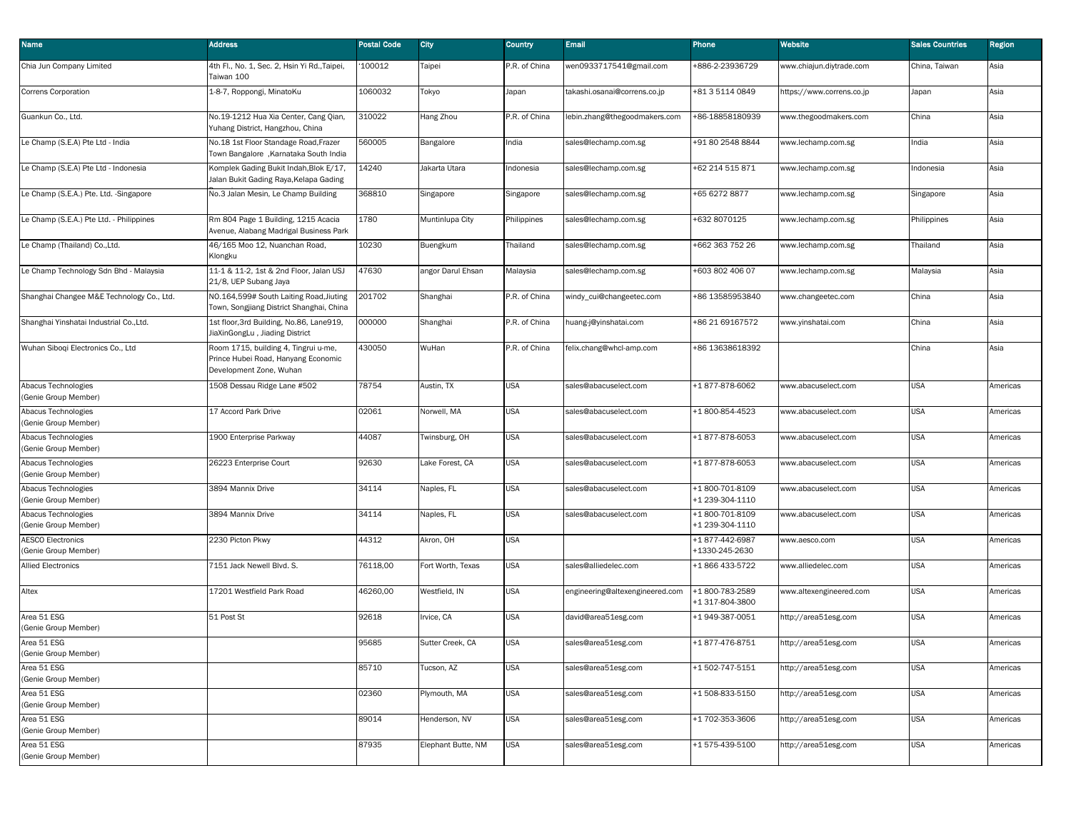| Name                                             | <b>Address</b>                                                                                         | <b>Postal Code</b> | City               | <b>Country</b> | <b>Email</b>                    | Phone                             | Website                   | <b>Sales Countries</b> | <b>Region</b> |
|--------------------------------------------------|--------------------------------------------------------------------------------------------------------|--------------------|--------------------|----------------|---------------------------------|-----------------------------------|---------------------------|------------------------|---------------|
| Chia Jun Company Limited                         | 4th Fl., No. 1, Sec. 2, Hsin Yi Rd.,Taipei,<br>Taiwan 100                                              | 100012             | Taipei             | P.R. of China  | wen0933717541@gmail.com         | +886-2-23936729                   | www.chiajun.diytrade.com  | China, Taiwan          | Asia          |
| Correns Corporation                              | 1-8-7, Roppongi, MinatoKu                                                                              | 1060032            | Tokyo              | Japan          | takashi.osanai@correns.co.jp    | +81 3 5114 0849                   | ittps://www.correns.co.jp | Japan                  | Asia          |
| Guankun Co., Ltd.                                | No.19-1212 Hua Xia Center, Cang Qian,<br>Yuhang District, Hangzhou, China                              | 310022             | Hang Zhou          | P.R. of China  | lebin.zhang@thegoodmakers.com   | +86-18858180939                   | www.thegoodmakers.com     | China                  | Asia          |
| Le Champ (S.E.A) Pte Ltd - India                 | No.18 1st Floor Standage Road, Frazer<br>Town Bangalore, Karnataka South India                         | 560005             | Bangalore          | India          | sales@lechamp.com.sg            | +91 80 2548 8844                  | www.lechamp.com.sg        | India                  | Asia          |
| Le Champ (S.E.A) Pte Ltd - Indonesia             | Komplek Gading Bukit Indah, Blok E/17,<br>Jalan Bukit Gading Raya, Kelapa Gading                       | 14240              | Jakarta Utara      | Indonesia      | sales@lechamp.com.sg            | +62 214 515 871                   | www.lechamp.com.sg        | Indonesia              | Asia          |
| Le Champ (S.E.A.) Pte. Ltd. -Singapore           | No.3 Jalan Mesin, Le Champ Building                                                                    | 368810             | Singapore          | Singapore      | sales@lechamp.com.sg            | +65 6272 8877                     | www.lechamp.com.sg        | Singapore              | Asia          |
| Le Champ (S.E.A.) Pte Ltd. - Philippines         | Rm 804 Page 1 Building, 1215 Acacia<br>Avenue, Alabang Madrigal Business Park                          | 1780               | Muntinlupa City    | Philippines    | sales@lechamp.com.sg            | +632 8070125                      | www.lechamp.com.sg        | Philippines            | Asia          |
| Le Champ (Thailand) Co., Ltd.                    | 46/165 Moo 12, Nuanchan Road,<br>Klongku                                                               | 10230              | Buengkum           | Thailand       | sales@lechamp.com.sg            | +662 363 752 26                   | www.lechamp.com.sg        | Thailand               | Asia          |
| Le Champ Technology Sdn Bhd - Malaysia           | 11-1 & 11-2, 1st & 2nd Floor, Jalan USJ<br>21/8, UEP Subang Jaya                                       | 47630              | angor Darul Ehsan  | Malaysia       | sales@lechamp.com.sg            | +603 802 406 07                   | www.lechamp.com.sg        | Malaysia               | Asia          |
| Shanghai Changee M&E Technology Co., Ltd.        | NO.164,599# South Laiting Road, Jiuting<br>Town, Songjiang District Shanghai, China                    | 201702             | Shanghai           | P.R. of China  | windy_cui@changeetec.com        | +86 13585953840                   | www.changeetec.com        | China                  | Asia          |
| Shanghai Yinshatai Industrial Co., Ltd.          | 1st floor, 3rd Building, No.86, Lane919,<br>JiaXinGongLu, Jiading District                             | 000000             | Shanghai           | P.R. of China  | huang-j@yinshatai.com           | +86 21 69167572                   | www.yinshatai.com         | China                  | Asia          |
| Wuhan Siboqi Electronics Co., Ltd                | Room 1715, building 4, Tingrui u-me,<br>Prince Hubei Road, Hanyang Economic<br>Development Zone, Wuhan | 430050             | WuHan              | P.R. of China  | felix.chang@whcl-amp.com        | +86 13638618392                   |                           | China                  | Asia          |
| Abacus Technologies<br>(Genie Group Member)      | 1508 Dessau Ridge Lane #502                                                                            | 78754              | Austin, TX         | <b>USA</b>     | sales@abacuselect.com           | +1877-878-6062                    | www.abacuselect.com       | <b>USA</b>             | Americas      |
| Abacus Technologies<br>(Genie Group Member)      | 17 Accord Park Drive                                                                                   | 02061              | Norwell, MA        | <b>USA</b>     | sales@abacuselect.com           | +1800-854-4523                    | www.abacuselect.com       | <b>USA</b>             | Americas      |
| Abacus Technologies<br>(Genie Group Member)      | 1900 Enterprise Parkway                                                                                | 44087              | Twinsburg, OH      | <b>USA</b>     | sales@abacuselect.com           | +1877-878-6053                    | www.abacuselect.com       | USA                    | Americas      |
| Abacus Technologies<br>(Genie Group Member)      | 26223 Enterprise Court                                                                                 | 92630              | Lake Forest, CA    | <b>USA</b>     | sales@abacuselect.com           | +1877-878-6053                    | www.abacuselect.com       | <b>USA</b>             | Americas      |
| Abacus Technologies<br>(Genie Group Member)      | 3894 Mannix Drive                                                                                      | 34114              | Naples, FL         | <b>USA</b>     | sales@abacuselect.com           | +1800-701-8109<br>+1 239-304-1110 | www.abacuselect.com       | <b>USA</b>             | Americas      |
| Abacus Technologies<br>(Genie Group Member)      | 3894 Mannix Drive                                                                                      | 34114              | Naples, FL         | <b>USA</b>     | sales@abacuselect.com           | +1800-701-8109<br>+1 239-304-1110 | www.abacuselect.com       | <b>USA</b>             | Americas      |
| <b>AESCO Electronics</b><br>(Genie Group Member) | 2230 Picton Pkwy                                                                                       | 44312              | Akron, OH          | <b>USA</b>     |                                 | +1877-442-6987<br>+1330-245-2630  | www.aesco.com             | <b>USA</b>             | Americas      |
| <b>Allied Electronics</b>                        | 7151 Jack Newell Blvd. S.                                                                              | 76118,00           | Fort Worth, Texas  | <b>USA</b>     | sales@alliedelec.com            | +1866433-5722                     | www.alliedelec.com        | <b>USA</b>             | Americas      |
| Altex                                            | 17201 Westfield Park Road                                                                              | 46260,00           | Westfield, IN      | <b>USA</b>     | engineering@altexengineered.com | +1800-783-2589<br>+1 317-804-3800 | www.altexengineered.com   | <b>USA</b>             | Americas      |
| Area 51 ESG<br>(Genie Group Member)              | 51 Post St                                                                                             | 92618              | rvice, CA          | <b>USA</b>     | david@area51esg.com             | +1949-387-0051                    | nttp://area51esg.com      | <b>USA</b>             | Americas      |
| Area 51 ESG<br>(Genie Group Member)              |                                                                                                        | 95685              | Sutter Creek, CA   | <b>USA</b>     | sales@area51esg.com             | +1877-476-8751                    | http://area51esg.com      | <b>USA</b>             | Americas      |
| Area 51 ESG<br>(Genie Group Member)              |                                                                                                        | 85710              | Tucson, AZ         | <b>USA</b>     | sales@area51esg.com             | +1502-747-5151                    | nttp://area51esg.com      | <b>USA</b>             | Americas      |
| Area 51 ESG<br>(Genie Group Member)              |                                                                                                        | 02360              | Plymouth, MA       | <b>USA</b>     | sales@area51esg.com             | +1508-833-5150                    | http://area51esg.com      | <b>USA</b>             | Americas      |
| Area 51 ESG<br>(Genie Group Member)              |                                                                                                        | 89014              | Henderson, NV      | <b>USA</b>     | sales@area51esg.com             | +1 702-353-3606                   | http://area51esg.com      | <b>USA</b>             | Americas      |
| Area 51 ESG<br>(Genie Group Member)              |                                                                                                        | 87935              | Elephant Butte, NM | <b>USA</b>     | sales@area51esg.com             | +1575-439-5100                    | ttp://area51esg.com       | USA                    | Americas      |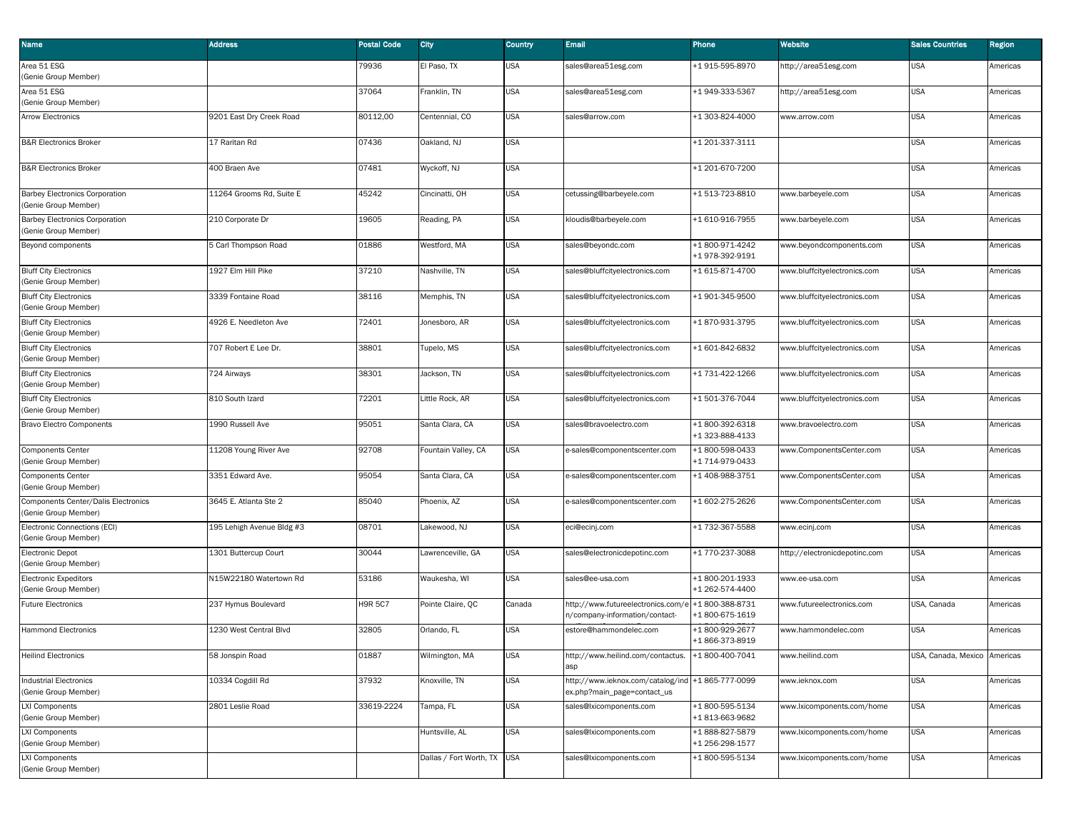| Name                                                          | <b>Address</b>            | <b>Postal Code</b> | City                    | Country    | <b>Email</b>                                                                     | Phone                              | Website                       | <b>Sales Countries</b>       | Region   |
|---------------------------------------------------------------|---------------------------|--------------------|-------------------------|------------|----------------------------------------------------------------------------------|------------------------------------|-------------------------------|------------------------------|----------|
| Area 51 ESG<br>(Genie Group Member)                           |                           | 79936              | El Paso, TX             | JSA        | sales@area51esg.com                                                              | +1 915-595-8970                    | http://area51esg.com          | <b>USA</b>                   | Americas |
| Area 51 ESG<br>(Genie Group Member)                           |                           | 37064              | Franklin, TN            | JSA        | sales@area51esg.com                                                              | +1 949-333-5367                    | nttp://area51esg.com          | <b>USA</b>                   | Americas |
| <b>Arrow Electronics</b>                                      | 9201 East Dry Creek Road  | 80112,00           | Centennial, CO          | JSA        | sales@arrow.com                                                                  | +1 303-824-4000                    | www.arrow.com                 | <b>USA</b>                   | Americas |
| <b>B&amp;R Electronics Broker</b>                             | 17 Raritan Rd             | 07436              | Oakland, NJ             | <b>JSA</b> |                                                                                  | +1 201-337-3111                    |                               | <b>USA</b>                   | Americas |
| <b>B&amp;R Electronics Broker</b>                             | 400 Braen Ave             | 07481              | Wyckoff, NJ             | JSA        |                                                                                  | +1 201-670-7200                    |                               | <b>USA</b>                   | Americas |
| <b>Barbey Electronics Corporation</b><br>(Genie Group Member) | 11264 Grooms Rd, Suite E  | 45242              | Cincinatti, OH          | JSA        | cetussing@barbeyele.com                                                          | +1513-723-8810                     | www.barbeyele.com             | <b>USA</b>                   | Americas |
| <b>Barbey Electronics Corporation</b><br>(Genie Group Member) | 210 Corporate Dr          | 19605              | Reading, PA             | <b>JSA</b> | kloudis@barbeyele.com                                                            | +1 610-916-7955                    | www.barbeyele.com             | <b>USA</b>                   | Americas |
| Beyond components                                             | 5 Carl Thompson Road      | 01886              | Westford, MA            | JSA        | sales@beyondc.com                                                                | +1 800-971-4242<br>+1 978-392-9191 | vww.beyondcomponents.com      | <b>USA</b>                   | Americas |
| <b>Bluff City Electronics</b><br>(Genie Group Member)         | 1927 Elm Hill Pike        | 37210              | Nashville, TN           | <b>JSA</b> | sales@bluffcityelectronics.com                                                   | +1 615-871-4700                    | vww.bluffcityelectronics.com  | <b>USA</b>                   | Americas |
| <b>Bluff City Electronics</b><br>(Genie Group Member)         | 3339 Fontaine Road        | 38116              | Memphis, TN             | JSA        | sales@bluffcityelectronics.com                                                   | +1 901-345-9500                    | www.bluffcityelectronics.com  | <b>USA</b>                   | Americas |
| <b>Bluff City Electronics</b><br>(Genie Group Member)         | 4926 E. Needleton Ave     | 72401              | Jonesboro, AR           | <b>JSA</b> | sales@bluffcityelectronics.com                                                   | +1870-931-3795                     | www.bluffcityelectronics.com  | <b>USA</b>                   | Americas |
| <b>Bluff City Electronics</b><br>(Genie Group Member)         | 707 Robert E Lee Dr.      | 38801              | Tupelo, MS              | <b>JSA</b> | sales@bluffcityelectronics.com                                                   | +1 601-842-6832                    | www.bluffcityelectronics.com  | <b>USA</b>                   | Americas |
| <b>Bluff City Electronics</b><br>(Genie Group Member)         | 724 Airways               | 38301              | Jackson, TN             | JSA        | sales@bluffcityelectronics.com                                                   | +1 731-422-1266                    | www.bluffcityelectronics.com  | <b>USA</b>                   | Americas |
| <b>Bluff City Electronics</b><br>(Genie Group Member)         | 810 South Izard           | 72201              | Little Rock, AR         | <b>JSA</b> | sales@bluffcityelectronics.com                                                   | +1501-376-7044                     | vww.bluffcityelectronics.com  | <b>USA</b>                   | Americas |
| <b>Bravo Electro Components</b>                               | 1990 Russell Ave          | 95051              | Santa Clara, CA         | USA        | sales@bravoelectro.com                                                           | +1800-392-6318<br>+1 323-888-4133  | www.bravoelectro.com          | <b>USA</b>                   | Americas |
| Components Center<br>(Genie Group Member)                     | 11208 Young River Ave     | 92708              | Fountain Valley, CA     | <b>JSA</b> | e-sales@componentscenter.com                                                     | +1800-598-0433<br>+1 714-979-0433  | www.ComponentsCenter.com      | <b>USA</b>                   | Americas |
| <b>Components Center</b><br>(Genie Group Member)              | 3351 Edward Ave.          | 95054              | Santa Clara, CA         | <b>JSA</b> | e-sales@componentscenter.com                                                     | +1 408-988-3751                    | www.ComponentsCenter.com      | <b>USA</b>                   | Americas |
| Components Center/Dalis Electronics<br>(Genie Group Member)   | 3645 E. Atlanta Ste 2     | 85040              | Phoenix, AZ             | USA        | e-sales@componentscenter.com                                                     | +1 602-275-2626                    | www.ComponentsCenter.com      | <b>USA</b>                   | Americas |
| Electronic Connections (ECI)<br>(Genie Group Member)          | 195 Lehigh Avenue Bldg #3 | 08701              | Lakewood, NJ            | <b>JSA</b> | eci@ecinj.com                                                                    | +1732-367-5588                     | www.ecinj.com                 | <b>USA</b>                   | Americas |
| <b>Electronic Depot</b><br>(Genie Group Member)               | 1301 Buttercup Court      | 30044              | Lawrenceville, GA       | <b>JSA</b> | sales@electronicdepotinc.com                                                     | +1 770-237-3088                    | nttp://electronicdepotinc.com | <b>USA</b>                   | Americas |
| <b>Electronic Expeditors</b><br>(Genie Group Member)          | N15W22180 Watertown Rd    | 53186              | Waukesha, WI            | <b>JSA</b> | sales@ee-usa.com                                                                 | +1800-201-1933<br>+1 262-574-4400  | www.ee-usa.com                | <b>USA</b>                   | Americas |
| <b>Future Electronics</b>                                     | 237 Hymus Boulevard       | <b>H9R 5C7</b>     | Pointe Claire, QC       | Canada     | nttp://www.futureelectronics.com/e<br>1/company-information/contact-             | +1800-388-8731<br>+1 800-675-1619  | www.futureelectronics.com     | USA, Canada                  | Americas |
| <b>Hammond Electronics</b>                                    | 1230 West Central Blvd    | 32805              | Orlando, FL             | <b>JSA</b> | estore@hammondelec.com                                                           | +1800-929-2677<br>+1866-373-8919   | www.hammondelec.com           | <b>USA</b>                   | Americas |
| <b>Heilind Electronics</b>                                    | 58 Jonspin Road           | 01887              | Wilmington, MA          | USA        | http://www.heilind.com/contactus.<br>asp                                         | +1800-400-7041                     | www.heilind.com               | USA, Canada, Mexico Americas |          |
| <b>Industrial Electronics</b><br>(Genie Group Member)         | 10334 Cogdill Rd          | 37932              | Knoxville, TN           | JSA        | 1ttp://www.ieknox.com/catalog/ind +1 865-777-0099<br>ex.php?main_page=contact_us |                                    | www.ieknox.com                | <b>USA</b>                   | Americas |
| <b>LXI Components</b><br>(Genie Group Member)                 | 2801 Leslie Road          | 33619-2224         | Tampa, FL               | JSA        | sales@lxicomponents.com                                                          | +1800-595-5134<br>+1813-663-9682   | www.lxicomponents.com/home    | <b>USA</b>                   | Americas |
| <b>LXI Components</b><br>(Genie Group Member)                 |                           |                    | Huntsville, AL          | JSA        | sales@lxicomponents.com                                                          | +1888-827-5879<br>+1 256-298-1577  | vww.lxicomponents.com/home    | <b>USA</b>                   | Americas |
| <b>LXI Components</b><br>(Genie Group Member)                 |                           |                    | Dallas / Fort Worth, TX | <b>USA</b> | sales@lxicomponents.com                                                          | +1800-595-5134                     | www.lxicomponents.com/home    | <b>USA</b>                   | Americas |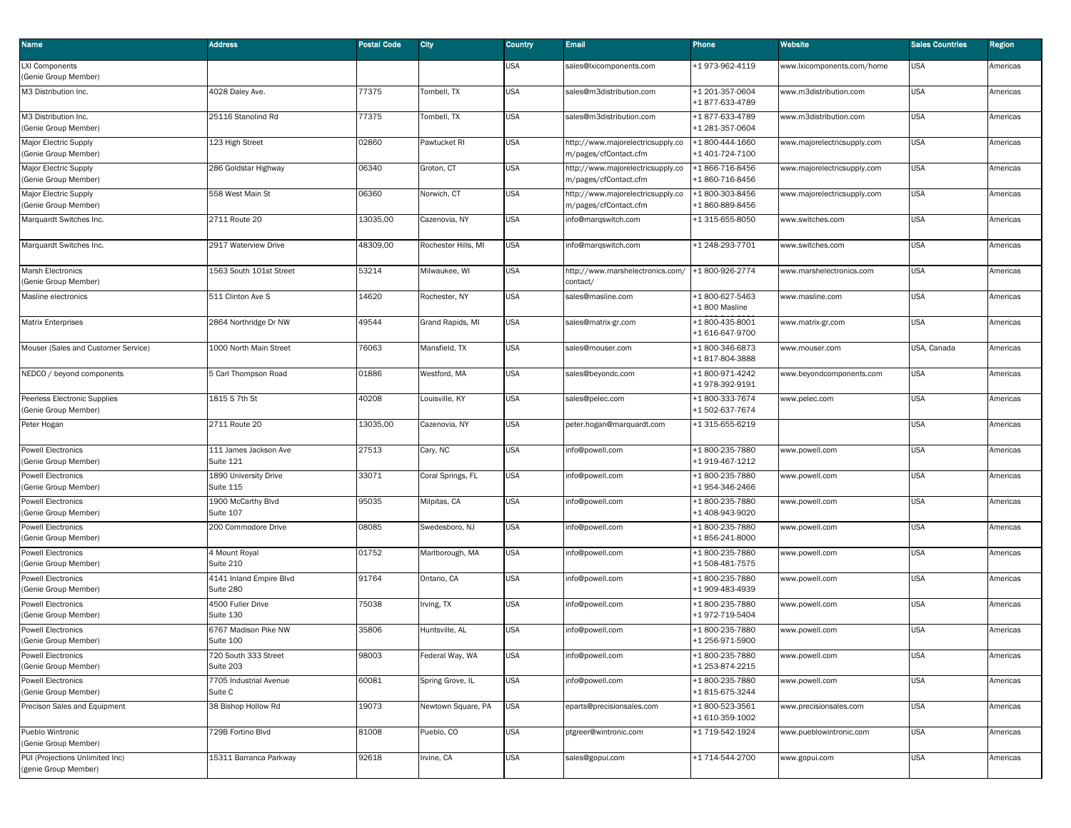| Name                                                    | <b>Address</b>                       | <b>Postal Code</b> | City                | <b>Country</b> | <b>Email</b>                                               | Phone                             | Website                     | <b>Sales Countries</b> | <b>Region</b> |
|---------------------------------------------------------|--------------------------------------|--------------------|---------------------|----------------|------------------------------------------------------------|-----------------------------------|-----------------------------|------------------------|---------------|
| <b>LXI Components</b><br>(Genie Group Member)           |                                      |                    |                     | JSA            | sales@lxicomponents.com                                    | +1 973-962-4119                   | www.lxicomponents.com/home  | <b>USA</b>             | Americas      |
| M3 Distribution Inc.                                    | 4028 Daley Ave.                      | 77375              | Tombell, TX         | USA            | sales@m3distribution.com                                   | +1 201-357-0604<br>+1877-633-4789 | www.m3distribution.com      | <b>USA</b>             | Americas      |
| M3 Distribution Inc.<br>(Genie Group Member)            | 25116 Stanolind Rd                   | 77375              | Tombell, TX         | USA            | sales@m3distribution.com                                   | +1877-633-4789<br>+1 281-357-0604 | www.m3distribution.com      | <b>USA</b>             | Americas      |
| Major Electric Supply<br>(Genie Group Member)           | 123 High Street                      | 02860              | Pawtucket RI        | USA            | http://www.majorelectricsupply.co<br>m/pages/cfContact.cfm | +1800-444-1660<br>+1 401-724-7100 | www.majorelectricsupply.com | <b>USA</b>             | Americas      |
| Major Electric Supply<br>(Genie Group Member)           | 286 Goldstar Highway                 | 06340              | Groton, CT          | USA            | http://www.majorelectricsupply.co<br>m/pages/cfContact.cfm | +1866-716-8456<br>+1860-716-8456  | www.majorelectricsupply.com | <b>USA</b>             | Americas      |
| <b>Major Electric Supply</b><br>(Genie Group Member)    | 558 West Main St                     | 06360              | Norwich, CT         | USA            | http://www.majorelectricsupply.co<br>m/pages/cfContact.cfm | +1800-303-8456<br>+1860-889-8456  | www.majorelectricsupply.com | <b>USA</b>             | Americas      |
| Marquardt Switches Inc.                                 | 2711 Route 20                        | 13035,00           | Cazenovia, NY       | USA            | info@margswitch.com                                        | +1 315-655-8050                   | www.switches.com            | <b>USA</b>             | Americas      |
| Marquardt Switches Inc.                                 | 2917 Waterview Drive                 | 48309,00           | Rochester Hills, MI | USA            | info@marqswitch.com                                        | +1 248-293-7701                   | www.switches.com            | <b>USA</b>             | Americas      |
| <b>Marsh Electronics</b><br>(Genie Group Member)        | 1563 South 101st Street              | 53214              | Milwaukee, WI       | USA            | http://www.marshelectronics.com/<br>contact/               | +1800-926-2774                    | www.marshelectronics.com    | <b>USA</b>             | Americas      |
| Masline electronics                                     | 511 Clinton Ave S                    | 14620              | Rochester, NY       | USA            | sales@masline.com                                          | +1800-627-5463<br>+1 800 Masline  | www.masline.com             | <b>USA</b>             | Americas      |
| <b>Matrix Enterprises</b>                               | 2864 Northridge Dr NW                | 49544              | Grand Rapids, MI    | USA            | sales@matrix-gr.com                                        | +1800-435-8001<br>+1 616-647-9700 | www.matrix-gr.com           | <b>USA</b>             | Americas      |
| Mouser (Sales and Customer Service)                     | 1000 North Main Street               | 76063              | Mansfield, TX       | USA            | sales@mouser.com                                           | +1800-346-6873<br>+1817-804-3888  | www.mouser.com              | USA, Canada            | Americas      |
| NEDCO / beyond components                               | 5 Carl Thompson Road                 | 01886              | Westford, MA        | USA            | sales@beyondc.com                                          | +1800-971-4242<br>+1978-392-9191  | www.beyondcomponents.com    | <b>USA</b>             | Americas      |
| Peerless Electronic Supplies<br>(Genie Group Member)    | 1815 S 7th St                        | 40208              | Louisville, KY      | USA            | sales@pelec.com                                            | +1800-333-7674<br>+1502-637-7674  | www.pelec.com               | <b>USA</b>             | Americas      |
| Peter Hogan                                             | 2711 Route 20                        | 13035,00           | Cazenovia, NY       | USA            | peter.hogan@marquardt.com                                  | +1 315-655-6219                   |                             | <b>USA</b>             | Americas      |
| <b>Powell Electronics</b><br>(Genie Group Member)       | 111 James Jackson Ave<br>Suite 121   | 27513              | Cary, NC            | USA            | info@powell.com                                            | +1800-235-7880<br>+1 919-467-1212 | www.powell.com              | <b>USA</b>             | Americas      |
| <b>Powell Electronics</b><br>(Genie Group Member)       | 1890 University Drive<br>Suite 115   | 33071              | Coral Springs, FL   | <b>USA</b>     | info@powell.com                                            | +1800-235-7880<br>+1 954-346-2466 | www.powell.com              | <b>USA</b>             | Americas      |
| <b>Powell Electronics</b><br>(Genie Group Member)       | 1900 McCarthy Blvd<br>Suite 107      | 95035              | Milpitas, CA        | USA            | info@powell.com                                            | +1800-235-7880<br>+1 408-943-9020 | www.powell.com              | <b>USA</b>             | Americas      |
| <b>Powell Electronics</b><br>(Genie Group Member)       | 200 Commodore Drive                  | 08085              | Swedesboro, NJ      | USA            | info@powell.com                                            | +1800-235-7880<br>+1856-241-8000  | www.powell.com              | <b>USA</b>             | Americas      |
| <b>Powell Electronics</b><br>(Genie Group Member)       | 4 Mount Royal<br>Suite 210           | 01752              | Marlborough, MA     | USA            | info@powell.com                                            | +1800-235-7880<br>+1508-481-7575  | www.powell.com              | <b>USA</b>             | Americas      |
| <b>Powell Electronics</b><br>(Genie Group Member)       | 4141 Inland Empire Blvd<br>Suite 280 | 91764              | Ontario, CA         | USA            | info@powell.com                                            | +1800-235-7880<br>+1 909-483-4939 | www.powell.com              | <b>USA</b>             | Americas      |
| <b>Powell Electronics</b><br>(Genie Group Member)       | 4500 Fuller Drive<br>Suite 130       | 75038              | Irving, TX          | USA            | info@powell.com                                            | +1800-235-7880<br>+1 972-719-5404 | www.powell.com              | <b>USA</b>             | Americas      |
| <b>Powell Electronics</b><br>(Genie Group Member)       | 6767 Madison Pike NW<br>Suite 100    | 35806              | Huntsville, AL      | <b>USA</b>     | info@powell.com                                            | +1800-235-7880<br>+1 256-971-5900 | www.powell.com              | <b>USA</b>             | Americas      |
| <b>Powell Electronics</b><br>(Genie Group Member)       | 720 South 333 Street<br>Suite 203    | 98003              | Federal Way, WA     | <b>USA</b>     | info@powell.com                                            | +1800-235-7880<br>+1 253-874-2215 | www.powell.com              | <b>USA</b>             | Americas      |
| <b>Powell Electronics</b><br>(Genie Group Member)       | 7705 Industrial Avenue<br>Suite C    | 60081              | Spring Grove, IL    | USA            | info@powell.com                                            | +1800-235-7880<br>+1815-675-3244  | www.powell.com              | <b>USA</b>             | Americas      |
| Precison Sales and Equipment                            | 38 Bishop Hollow Rd                  | 19073              | Newtown Square, PA  | USA            | eparts@precisionsales.com                                  | +1800-523-3561<br>+1 610-359-1002 | www.precisionsales.com      | <b>USA</b>             | Americas      |
| Pueblo Wintronic<br>(Genie Group Member)                | 729B Fortino Blvd                    | 81008              | Pueblo, CO          | USA            | ptgreer@wintronic.com                                      | +1 719-542-1924                   | www.pueblowintronic.com     | <b>USA</b>             | Americas      |
| PUI (Projections Unlimited Inc)<br>(genie Group Member) | 15311 Barranca Parkway               | 92618              | Irvine, CA          | USA            | sales@gopui.com                                            | +1 714-544-2700                   | www.gopui.com               | <b>USA</b>             | Americas      |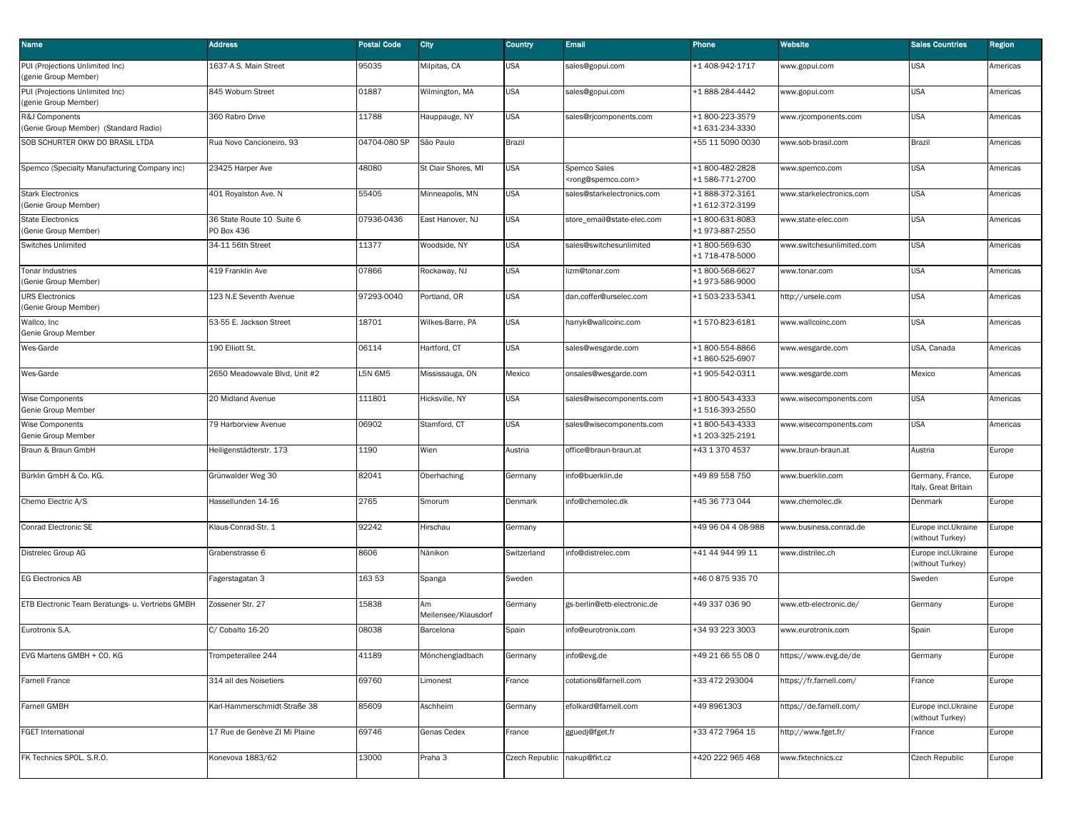| Name                                                    | <b>Address</b>                          | <b>Postal Code</b> | City                      | Country        | Email                                               | Phone                             | Website                   | <b>Sales Countries</b>                   | <b>Region</b> |
|---------------------------------------------------------|-----------------------------------------|--------------------|---------------------------|----------------|-----------------------------------------------------|-----------------------------------|---------------------------|------------------------------------------|---------------|
| PUI (Projections Unlimited Inc)<br>(genie Group Member) | 1637-A S. Main Street                   | 95035              | Milpitas, CA              | JSA            | sales@gopui.com                                     | +1 408-942-1717                   | www.gopui.com             | <b>USA</b>                               | Americas      |
| PUI (Projections Unlimited Inc)<br>(genie Group Member) | 845 Woburn Street                       | 01887              | Wilmington, MA            | <b>USA</b>     | sales@gopui.com                                     | +1888-284-4442                    | www.gopui.com             | <b>USA</b>                               | Americas      |
| R&J Components<br>(Genie Group Member) (Standard Radio) | 360 Rabro Drive                         | 11788              | Hauppauge, NY             | <b>USA</b>     | sales@rjcomponents.com                              | +1800-223-3579<br>+1 631-234-3330 | www.rjcomponents.com      | <b>USA</b>                               | Americas      |
| SOB SCHURTER OKW DO BRASIL LTDA                         | Rua Novo Cancioneiro, 93                | 04704-080 SP       | São Paulo                 | Brazil         |                                                     | +55 11 5090 0030                  | www.sob-brasil.com        | <b>Brazil</b>                            | Americas      |
| Spemco (Specialty Manufacturing Company inc)            | 23425 Harper Ave                        | 48080              | St Clair Shores, MI       | USA            | Spemco Sales<br><rong@spemco.com></rong@spemco.com> | +1800-482-2828<br>+1586-771-2700  | www.spemco.com            | <b>USA</b>                               | Americas      |
| <b>Stark Electronics</b><br>(Genie Group Member)        | 401 Royalston Ave. N                    | 55405              | Minneapolis, MN           | <b>USA</b>     | sales@starkelectronics.com                          | +1888-372-3161<br>+1 612-372-3199 | www.starkelectronics.com  | <b>USA</b>                               | Americas      |
| <b>State Electronics</b><br>(Genie Group Member)        | 36 State Route 10 Suite 6<br>PO Box 436 | 07936-0436         | East Hanover, NJ          | USA            | store_email@state-elec.com                          | +1800-631-8083<br>+1973-887-2550  | www.state-elec.com        | <b>USA</b>                               | Americas      |
| <b>Switches Unlimited</b>                               | 34-11 56th Street                       | 11377              | Woodside, NY              | <b>USA</b>     | sales@switchesunlimited                             | +1800-569-630<br>+1 718-478-5000  | www.switchesunlimited.com | <b>USA</b>                               | Americas      |
| Tonar Industries<br>(Genie Group Member)                | 419 Franklin Ave                        | 07866              | Rockaway, NJ              | <b>USA</b>     | lizm@tonar.com                                      | +1800-568-6627<br>+1973-586-9000  | www.tonar.com             | <b>USA</b>                               | Americas      |
| <b>URS Electronics</b><br>(Genie Group Member)          | 123 N.E Seventh Avenue                  | 97293-0040         | Portland, OR              | <b>USA</b>     | dan.coffer@urselec.com                              | +1503-233-5341                    | http://ursele.com         | <b>USA</b>                               | Americas      |
| Wallco, Inc<br>Genie Group Member                       | 53-55 E. Jackson Street                 | 18701              | Wilkes-Barre, PA          | <b>USA</b>     | harryk@wallcoinc.com                                | +1570-823-6181                    | www.wallcoinc.com         | <b>USA</b>                               | Americas      |
| Wes-Garde                                               | 190 Elliott St.                         | 06114              | Hartford, CT              | USA            | sales@wesgarde.com                                  | +1800-554-8866<br>+1860-525-6907  | www.wesgarde.com          | USA, Canada                              | Americas      |
| Wes-Garde                                               | 2650 Meadowvale Blvd, Unit #2           | L5N 6M5            | Mississauga, ON           | Mexico         | onsales@wesgarde.com                                | +1 905-542-0311                   | www.wesgarde.com          | Mexico                                   | Americas      |
| Wise Components<br>Genie Group Member                   | 20 Midland Avenue                       | 111801             | Hicksville, NY            | <b>USA</b>     | sales@wisecomponents.com                            | +1800-543-4333<br>+1516-393-2550  | vww.wisecomponents.com    | <b>USA</b>                               | Americas      |
| <b>Wise Components</b><br>Genie Group Member            | 79 Harborview Avenue                    | 06902              | Stamford, CT              | USA            | sales@wisecomponents.com                            | +1800-543-4333<br>+1 203-325-2191 | www.wisecomponents.com    | <b>USA</b>                               | Americas      |
| Braun & Braun GmbH                                      | Heiligenstädterstr. 173                 | 1190               | Wien                      | Austria        | office@braun-braun.at                               | +43 1 370 4537                    | www.braun-braun.at        | Austria                                  | Europe        |
| Bürklin GmbH & Co. KG.                                  | Grünwalder Weg 30                       | 82041              | Oberhaching               | Germany        | info@buerklin.de                                    | +49 89 558 750                    | www.buerklin.com          | Germany, France,<br>Italy, Great Britain | Europe        |
| Chemo Electric A/S                                      | Hassellunden 14-16                      | 2765               | Smorum                    | Denmark        | info@chemolec.dk                                    | +45 36 773 044                    | www.chemolec.dk           | Denmark                                  | Europe        |
| Conrad Electronic SE                                    | Klaus-Conrad-Str. 1                     | 92242              | Hirschau                  | Germany        |                                                     | +49 96 04 4 08-988                | www.business.conrad.de    | Europe incl.Ukraine<br>(without Turkey)  | Europe        |
| Distrelec Group AG                                      | Grabenstrasse 6                         | 8606               | Nänikon                   | Switzerland    | info@distrelec.com                                  | +41 44 944 99 11                  | www.distrilec.ch          | Europe incl.Ukraine<br>(without Turkey)  | Europe        |
| <b>EG Electronics AB</b>                                | Fagerstagatan 3                         | 163 53             | Spanga                    | Sweden         |                                                     | +46 0 875 935 70                  |                           | Sweden                                   | Europe        |
| ETB Electronic Team Beratungs- u. Vertriebs GMBH        | Zossener Str. 27                        | 15838              | Am<br>Mellensee/Klausdorf | Germany        | gs-berlin@etb-electronic.de                         | +49 337 036 90                    | www.etb-electronic.de/    | Germany                                  | Europe        |
| Eurotronix S.A.                                         | C/ Cobalto 16-20                        | 08038              | Barcelona                 | Spain          | info@eurotronix.com                                 | +34 93 223 3003                   | www.eurotronix.com        | Spain                                    | Europe        |
| EVG Martens GMBH + CO. KG                               | Trompeterallee 244                      | 41189              | Mönchengladbach           | Germany        | info@evg.de                                         | +49 21 66 55 08 0                 | https://www.evg.de/de     | Germany                                  | Europe        |
| <b>Farnell France</b>                                   | 314 all des Noisetiers                  | 69760              | Limonest                  | France         | cotations@farnell.com                               | +33 472 293004                    | https://fr.farnell.com/   | France                                   | Europe        |
| <b>Farnell GMBH</b>                                     | Karl-Hammerschmidt-Straße 38            | 85609              | Aschheim                  | Germany        | efolkard@farnell.com                                | +49 8961303                       | https://de.farnell.com/   | Europe incl.Ukraine<br>(without Turkey)  | Europe        |
| <b>FGET International</b>                               | 17 Rue de Genève ZI Mi Plaine           | 69746              | Genas Cedex               | France         | gguedj@fget.fr                                      | +33 472 7964 15                   | http://www.fget.fr/       | France                                   | Europe        |
| FK Technics SPOL. S.R.O.                                | Konevova 1883/62                        | 13000              | Praha 3                   | Czech Republic | nakup@fkt.cz                                        | +420 222 965 468                  | www.fktechnics.cz         | <b>Czech Republic</b>                    | Europe        |